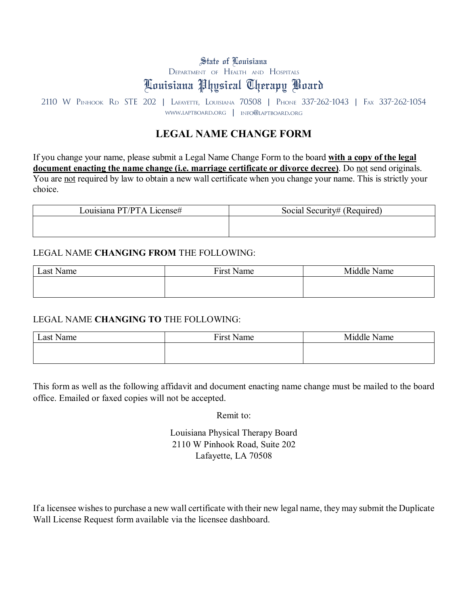# State of Louisiana

Department of Health and Hospitals

# Louisiana Physical Therapy Board

2110 W Pinhook Rd STE 202 | Lafayette, Louisiana 70508 | Phone 337-262-1043 | Fax 337-262-1054 www.laptboard.org | info@laptboard.org

### **LEGAL NAME CHANGE FORM**

If you change your name, please submit a Legal Name Change Form to the board **with a copy of the legal document enacting the name change (i.e. marriage certificate or divorce decree)**. Do not send originals. You are not required by law to obtain a new wall certificate when you change your name. This is strictly your choice.

| Louisiana PT/PTA License# | Social Security# (Required) |
|---------------------------|-----------------------------|
|                           |                             |
|                           |                             |

#### LEGAL NAME **CHANGING FROM** THE FOLLOWING:

| Last Name | <b>First Name</b> | Middle Name |  |
|-----------|-------------------|-------------|--|
|           |                   |             |  |
|           |                   |             |  |

#### LEGAL NAME **CHANGING TO** THE FOLLOWING:

| $\text{Last N}$<br>Name | <b>First Name</b> | Middle<br>$\mathbf{r}$<br>Name |  |
|-------------------------|-------------------|--------------------------------|--|
|                         |                   |                                |  |
|                         |                   |                                |  |

This form as well as the following affidavit and document enacting name change must be mailed to the board office. Emailed or faxed copies will not be accepted.

Remit to:

Louisiana Physical Therapy Board 2110 W Pinhook Road, Suite 202 Lafayette, LA 70508

If a licensee wishes to purchase a new wall certificate with their new legal name, they may submit the Duplicate Wall License Request form available via the licensee dashboard.